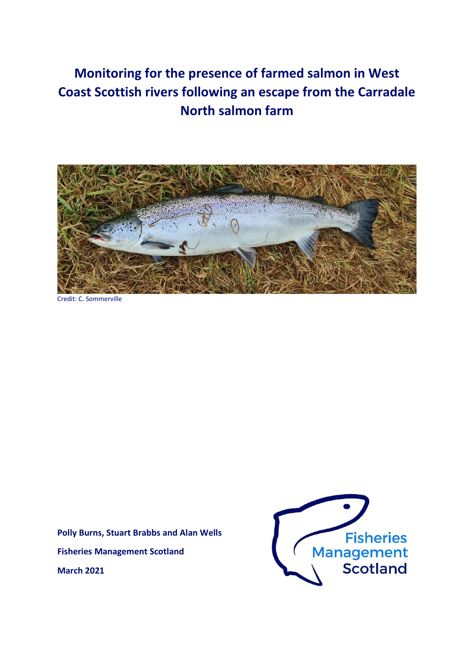# **Monitoring for the presence of farmed salmon in West Coast Scottish rivers following an escape from the Carradale North salmon farm**



Credit: C. Sommerville

**Polly Burns, Stuart Brabbs and Alan Wells Fisheries Management Scotland March 2021**

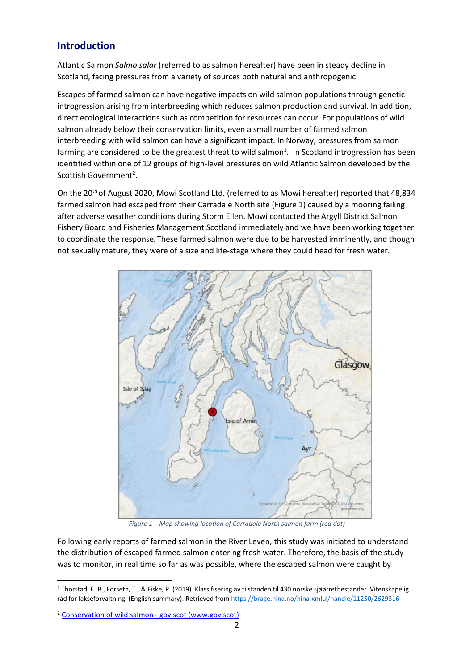### **Introduction**

Atlantic Salmon *Salmo salar* (referred to as salmon hereafter) have been in steady decline in Scotland, facing pressures from a variety of sources both natural and anthropogenic.

Escapes of farmed salmon can have negative impacts on wild salmon populations through genetic introgression arising from interbreeding which reduces salmon production and survival. In addition, direct ecological interactions such as competition for resources can occur. For populations of wild salmon already below their conservation limits, even a small number of farmed salmon interbreeding with wild salmon can have a significant impact. In Norway, pressures from salmon farming are considered to be the greatest threat to wild salmon<sup>1</sup>. In Scotland introgression has been identified within one of 12 groups of high-level pressures on wild Atlantic Salmon developed by the Scottish Government<sup>2</sup>.

On the 20<sup>th</sup> of August 2020, Mowi Scotland Ltd. (referred to as Mowi hereafter) reported that 48,834 farmed salmon had escaped from their Carradale North site [\(Figure 1\)](#page-1-0) caused by a mooring failing after adverse weather conditions during Storm Ellen. Mowi contacted the Argyll District Salmon Fishery Board and Fisheries Management Scotland immediately and we have been working together to coordinate the response. These farmed salmon were due to be harvested imminently, and though not sexually mature, they were of a size and life-stage where they could head for fresh water.



*Figure 1 – Map showing location of Carradale North salmon farm (red dot)*

<span id="page-1-0"></span>Following early reports of farmed salmon in the River Leven, this study was initiated to understand the distribution of escaped farmed salmon entering fresh water. Therefore, the basis of the study was to monitor, in real time so far as was possible, where the escaped salmon were caught by

<sup>1</sup> Thorstad, E. B., Forseth, T., & Fiske, P. (2019). Klassifisering av tilstanden til 430 norske sjøørretbestander. Vitenskapelig råd for lakseforvaltning. (English summary). Retrieved fro[m https://brage.nina.no/nina-xmlui/handle/11250/2629316](https://brage.nina.no/nina-xmlui/handle/11250/2629316)

<sup>2</sup> [Conservation of wild salmon -](https://www.gov.scot/publications/conservation-of-wild-salmon/pages/high-level-pressures-on-atlantic-salmon/) gov.scot (www.gov.scot)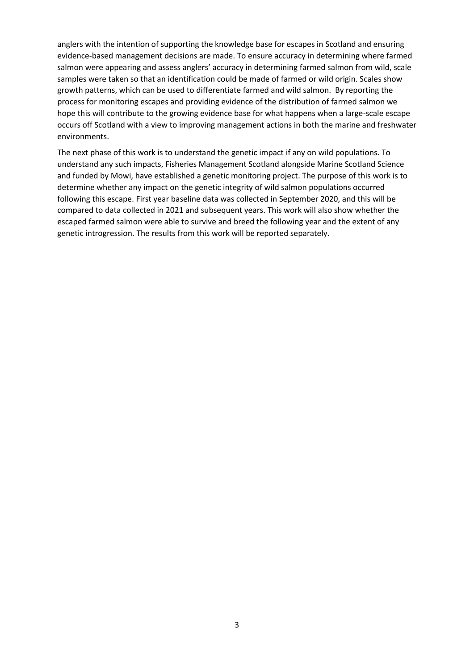anglers with the intention of supporting the knowledge base for escapes in Scotland and ensuring evidence-based management decisions are made. To ensure accuracy in determining where farmed salmon were appearing and assess anglers' accuracy in determining farmed salmon from wild, scale samples were taken so that an identification could be made of farmed or wild origin. Scales show growth patterns, which can be used to differentiate farmed and wild salmon. By reporting the process for monitoring escapes and providing evidence of the distribution of farmed salmon we hope this will contribute to the growing evidence base for what happens when a large-scale escape occurs off Scotland with a view to improving management actions in both the marine and freshwater environments.

The next phase of this work is to understand the genetic impact if any on wild populations. To understand any such impacts, Fisheries Management Scotland alongside Marine Scotland Science and funded by Mowi, have established a genetic monitoring project. The purpose of this work is to determine whether any impact on the genetic integrity of wild salmon populations occurred following this escape. First year baseline data was collected in September 2020, and this will be compared to data collected in 2021 and subsequent years. This work will also show whether the escaped farmed salmon were able to survive and breed the following year and the extent of any genetic introgression. The results from this work will be reported separately.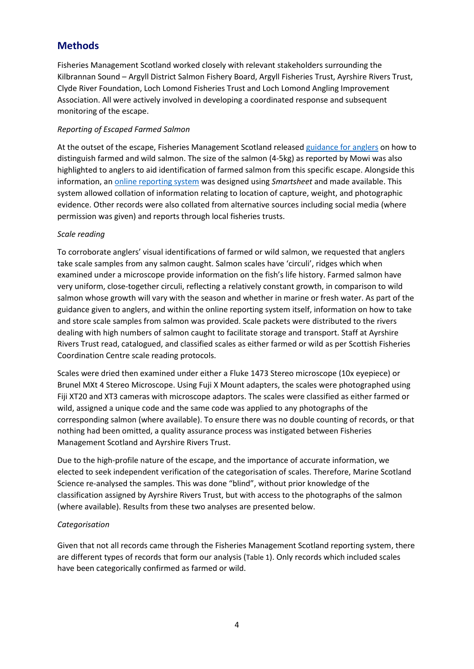### **Methods**

Fisheries Management Scotland worked closely with relevant stakeholders surrounding the Kilbrannan Sound – Argyll District Salmon Fishery Board, Argyll Fisheries Trust, Ayrshire Rivers Trust, Clyde River Foundation, Loch Lomond Fisheries Trust and Loch Lomond Angling Improvement Association. All were actively involved in developing a coordinated response and subsequent monitoring of the escape.

### *Reporting of Escaped Farmed Salmon*

At the outset of the escape, Fisheries Management Scotland release[d guidance for anglers](http://fms.scot/publications/guidance-for-anglers-on-identification-of-farmed-fish/) on how to distinguish farmed and wild salmon. The size of the salmon (4-5kg) as reported by Mowi was also highlighted to anglers to aid identification of farmed salmon from this specific escape. Alongside this information, an [online reporting system](https://app.smartsheet.com/b/form/b432577f816b400cbe8902bd3b799200) was designed using *Smartsheet* and made available. This system allowed collation of information relating to location of capture, weight, and photographic evidence. Other records were also collated from alternative sources including social media (where permission was given) and reports through local fisheries trusts.

#### *Scale reading*

To corroborate anglers' visual identifications of farmed or wild salmon, we requested that anglers take scale samples from any salmon caught. Salmon scales have 'circuli', ridges which when examined under a microscope provide information on the fish's life history. Farmed salmon have very uniform, close-together circuli, reflecting a relatively constant growth, in comparison to wild salmon whose growth will vary with the season and whether in marine or fresh water. As part of the guidance given to anglers, and within the online reporting system itself, information on how to take and store scale samples from salmon was provided. Scale packets were distributed to the rivers dealing with high numbers of salmon caught to facilitate storage and transport. Staff at Ayrshire Rivers Trust read, catalogued, and classified scales as either farmed or wild as per Scottish Fisheries Coordination Centre scale reading protocols.

Scales were dried then examined under either a Fluke 1473 Stereo microscope (10x eyepiece) or Brunel MXt 4 Stereo Microscope. Using Fuji X Mount adapters, the scales were photographed using Fiji XT20 and XT3 cameras with microscope adaptors. The scales were classified as either farmed or wild, assigned a unique code and the same code was applied to any photographs of the corresponding salmon (where available). To ensure there was no double counting of records, or that nothing had been omitted, a quality assurance process was instigated between Fisheries Management Scotland and Ayrshire Rivers Trust.

Due to the high-profile nature of the escape, and the importance of accurate information, we elected to seek independent verification of the categorisation of scales. Therefore, Marine Scotland Science re-analysed the samples. This was done "blind", without prior knowledge of the classification assigned by Ayrshire Rivers Trust, but with access to the photographs of the salmon (where available). Results from these two analyses are presented below.

### *Categorisation*

Given that not all records came through the Fisheries Management Scotland reporting system, there are different types of records that form our analysis ([Table 1](#page-4-0)). Only records which included scales have been categorically confirmed as farmed or wild.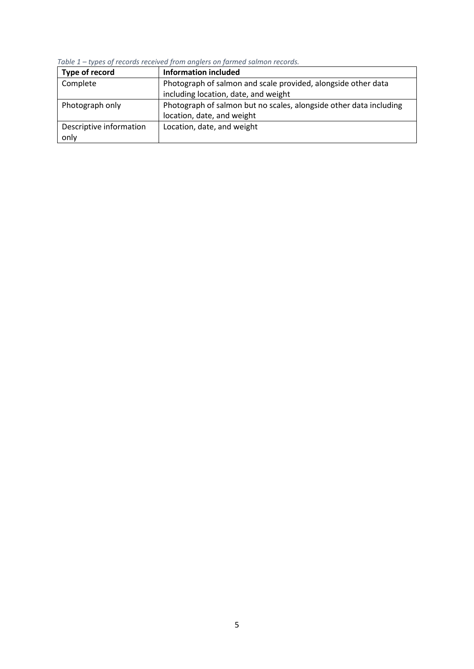| Type of record          | <b>Information included</b>                                        |
|-------------------------|--------------------------------------------------------------------|
| Complete                | Photograph of salmon and scale provided, alongside other data      |
|                         | including location, date, and weight                               |
| Photograph only         | Photograph of salmon but no scales, alongside other data including |
|                         | location, date, and weight                                         |
| Descriptive information | Location, date, and weight                                         |
| only                    |                                                                    |

<span id="page-4-0"></span>*Table 1 – types of records received from anglers on farmed salmon records.*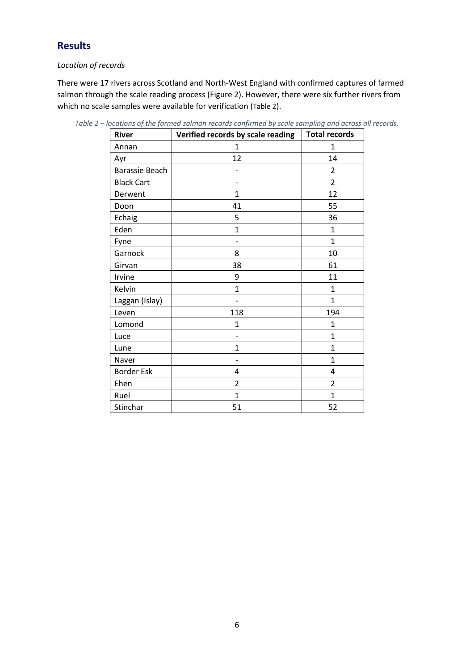# **Results**

### *Location of records*

There were 17 rivers across Scotland and North-West England with confirmed captures of farmed salmon through the scale reading process [\(Figure 2\)](#page-6-0). However, there were six further rivers from which no scale samples were available for verification ([Table 2](#page-5-0)).

| <b>River</b>      | Verified records by scale reading | <b>Total records</b> |
|-------------------|-----------------------------------|----------------------|
| Annan             | 1                                 | 1                    |
| Ayr               | 12                                | 14                   |
| Barassie Beach    |                                   | $\overline{2}$       |
| <b>Black Cart</b> |                                   | $\overline{2}$       |
| Derwent           | 1                                 | 12                   |
| Doon              | 41                                | 55                   |
| Echaig            | 5                                 | 36                   |
| Eden              | $\mathbf{1}$                      | $\mathbf{1}$         |
| Fyne              |                                   | $\mathbf{1}$         |
| Garnock           | 8                                 | 10                   |
| Girvan            | 38                                | 61                   |
| Irvine            | 9                                 | 11                   |
| Kelvin            | $\mathbf{1}$                      | 1                    |
| Laggan (Islay)    |                                   | $\mathbf{1}$         |
| Leven             | 118                               | 194                  |
| Lomond            | $\mathbf{1}$                      | 1                    |
| Luce              | $\overline{\phantom{0}}$          | $\mathbf{1}$         |
| Lune              | $\mathbf{1}$                      | $\mathbf{1}$         |
| Naver             |                                   | $\mathbf{1}$         |
| <b>Border Esk</b> | 4                                 | 4                    |
| Ehen              | 2                                 | $\overline{2}$       |
| Ruel              | $\mathbf{1}$                      | $\mathbf{1}$         |
| Stinchar          | 51                                | 52                   |

<span id="page-5-0"></span>*Table 2 – locations of the farmed salmon records confirmed by scale sampling and across all records.*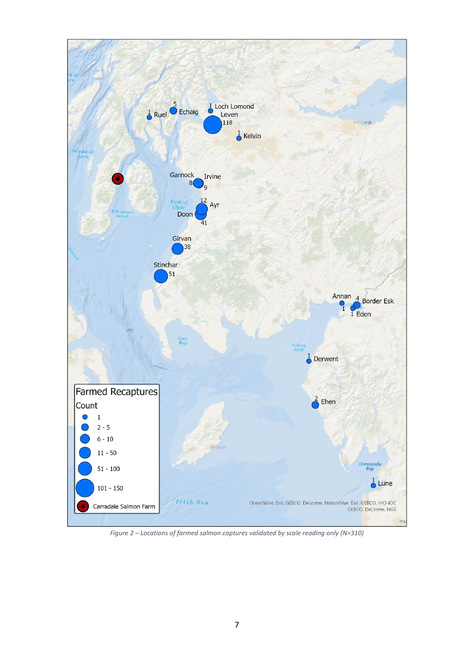<span id="page-6-0"></span>

*Figure 2 – Locations of farmed salmon captures validated by scale reading only (N=310)*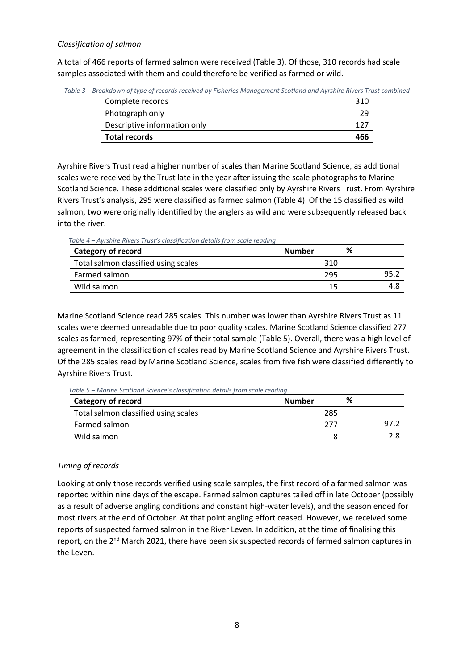### *Classification of salmon*

A total of 466 reports of farmed salmon were received [\(Table 3\)](#page-7-0). Of those, 310 records had scale samples associated with them and could therefore be verified as farmed or wild.

<span id="page-7-0"></span>

| Table 3 – Breakdown of type of records received by Fisheries Management Scotland and Ayrshire Rivers Trust combined |  |  |
|---------------------------------------------------------------------------------------------------------------------|--|--|
|                                                                                                                     |  |  |

| Complete records             | 210 |
|------------------------------|-----|
| Photograph only              |     |
| Descriptive information only |     |
| <b>Total records</b>         | 466 |

Ayrshire Rivers Trust read a higher number of scales than Marine Scotland Science, as additional scales were received by the Trust late in the year after issuing the scale photographs to Marine Scotland Science. These additional scales were classified only by Ayrshire Rivers Trust. From Ayrshire Rivers Trust's analysis, 295 were classified as farmed salmon [\(Table 4\)](#page-7-1). Of the 15 classified as wild salmon, two were originally identified by the anglers as wild and were subsequently released back into the river.

<span id="page-7-1"></span>*Table 4 – Ayrshire Rivers Trust's classification details from scale reading*

| Category of record                   | Number | % |
|--------------------------------------|--------|---|
| Total salmon classified using scales | 310    |   |
| Farmed salmon                        | 295    |   |
| Wild salmon                          | 15     |   |

Marine Scotland Science read 285 scales. This number was lower than Ayrshire Rivers Trust as 11 scales were deemed unreadable due to poor quality scales. Marine Scotland Science classified 277 scales as farmed, representing 97% of their total sample [\(Table 5\)](#page-7-2). Overall, there was a high level of agreement in the classification of scales read by Marine Scotland Science and Ayrshire Rivers Trust. Of the 285 scales read by Marine Scotland Science, scales from five fish were classified differently to Ayrshire Rivers Trust.

<span id="page-7-2"></span>*Table 5 – Marine Scotland Science's classification details from scale reading*

| Category of record                   | Number | % |
|--------------------------------------|--------|---|
| Total salmon classified using scales | 285    |   |
| Farmed salmon                        | 277    |   |
| Wild salmon                          |        |   |

### *Timing of records*

Looking at only those records verified using scale samples, the first record of a farmed salmon was reported within nine days of the escape. Farmed salmon captures tailed off in late October (possibly as a result of adverse angling conditions and constant high-water levels), and the season ended for most rivers at the end of October. At that point angling effort ceased. However, we received some reports of suspected farmed salmon in the River Leven. In addition, at the time of finalising this report, on the 2<sup>nd</sup> March 2021, there have been six suspected records of farmed salmon captures in the Leven.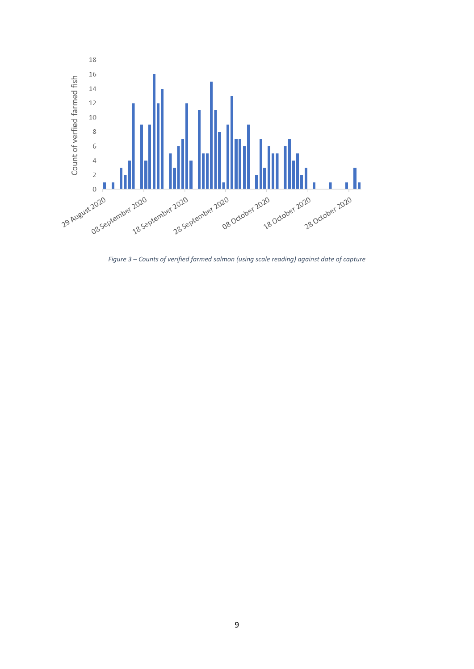

<span id="page-8-0"></span>*Figure 3 – Counts of verified farmed salmon (using scale reading) against date of capture*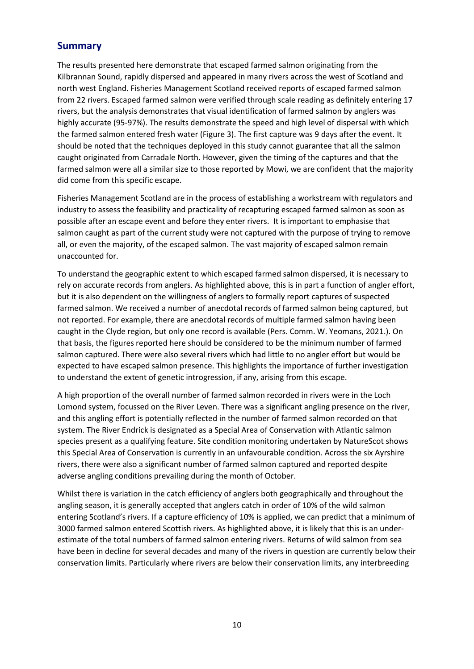### **Summary**

The results presented here demonstrate that escaped farmed salmon originating from the Kilbrannan Sound, rapidly dispersed and appeared in many rivers across the west of Scotland and north west England. Fisheries Management Scotland received reports of escaped farmed salmon from 22 rivers. Escaped farmed salmon were verified through scale reading as definitely entering 17 rivers, but the analysis demonstrates that visual identification of farmed salmon by anglers was highly accurate (95-97%). The results demonstrate the speed and high level of dispersal with which the farmed salmon entered fresh water [\(Figure 3\)](#page-8-0). The first capture was 9 days after the event. It should be noted that the techniques deployed in this study cannot guarantee that all the salmon caught originated from Carradale North. However, given the timing of the captures and that the farmed salmon were all a similar size to those reported by Mowi, we are confident that the majority did come from this specific escape.

Fisheries Management Scotland are in the process of establishing a workstream with regulators and industry to assess the feasibility and practicality of recapturing escaped farmed salmon as soon as possible after an escape event and before they enter rivers. It is important to emphasise that salmon caught as part of the current study were not captured with the purpose of trying to remove all, or even the majority, of the escaped salmon. The vast majority of escaped salmon remain unaccounted for.

To understand the geographic extent to which escaped farmed salmon dispersed, it is necessary to rely on accurate records from anglers. As highlighted above, this is in part a function of angler effort, but it is also dependent on the willingness of anglers to formally report captures of suspected farmed salmon. We received a number of anecdotal records of farmed salmon being captured, but not reported. For example, there are anecdotal records of multiple farmed salmon having been caught in the Clyde region, but only one record is available (Pers. Comm. W. Yeomans, 2021.). On that basis, the figures reported here should be considered to be the minimum number of farmed salmon captured. There were also several rivers which had little to no angler effort but would be expected to have escaped salmon presence. This highlights the importance of further investigation to understand the extent of genetic introgression, if any, arising from this escape.

A high proportion of the overall number of farmed salmon recorded in rivers were in the Loch Lomond system, focussed on the River Leven. There was a significant angling presence on the river, and this angling effort is potentially reflected in the number of farmed salmon recorded on that system. The River Endrick is designated as a Special Area of Conservation with Atlantic salmon species present as a qualifying feature. Site condition monitoring undertaken by NatureScot shows this Special Area of Conservation is currently in an unfavourable condition. Across the six Ayrshire rivers, there were also a significant number of farmed salmon captured and reported despite adverse angling conditions prevailing during the month of October.

Whilst there is variation in the catch efficiency of anglers both geographically and throughout the angling season, it is generally accepted that anglers catch in order of 10% of the wild salmon entering Scotland's rivers. If a capture efficiency of 10% is applied, we can predict that a minimum of 3000 farmed salmon entered Scottish rivers. As highlighted above, it is likely that this is an underestimate of the total numbers of farmed salmon entering rivers. Returns of wild salmon from sea have been in decline for several decades and many of the rivers in question are currently below their conservation limits. Particularly where rivers are below their conservation limits, any interbreeding